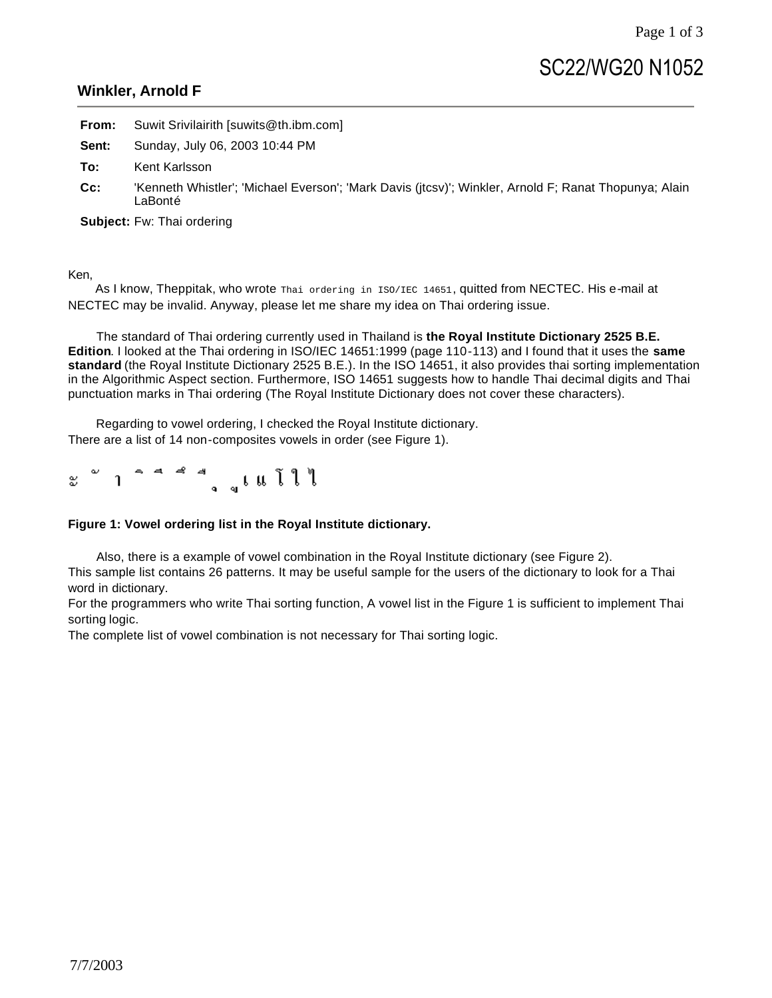## **Winkler, Arnold F**

|     | <b>From:</b> Suwit Srivilairith [suwits@th.ibm.com] |
|-----|-----------------------------------------------------|
|     | <b>Sent:</b> Sunday, July 06, 2003 10:44 PM         |
| To: | Kent Karlsson                                       |

**Cc:** 'Kenneth Whistler'; 'Michael Everson'; 'Mark Davis (jtcsv)'; Winkler, Arnold F; Ranat Thopunya; Alain LaBonté

**Subject:** Fw: Thai ordering

Ken,

As I know, Theppitak, who wrote Thai ordering in ISO/IEC 14651, quitted from NECTEC. His e-mail at NECTEC may be invalid. Anyway, please let me share my idea on Thai ordering issue.

 The standard of Thai ordering currently used in Thailand is **the Royal Institute Dictionary 2525 B.E. Edition**. I looked at the Thai ordering in ISO/IEC 14651:1999 (page 110-113) and I found that it uses the **same standard** (the Royal Institute Dictionary 2525 B.E.). In the ISO 14651, it also provides thai sorting implementation in the Algorithmic Aspect section. Furthermore, ISO 14651 suggests how to handle Thai decimal digits and Thai punctuation marks in Thai ordering (The Royal Institute Dictionary does not cover these characters).

 Regarding to vowel ordering, I checked the Royal Institute dictionary. There are a list of 14 non-composites vowels in order (see Figure 1).

æ,

## **Figure 1: Vowel ordering list in the Royal Institute dictionary.**

 Also, there is a example of vowel combination in the Royal Institute dictionary (see Figure 2). This sample list contains 26 patterns. It may be useful sample for the users of the dictionary to look for a Thai word in dictionary.

For the programmers who write Thai sorting function, A vowel list in the Figure 1 is sufficient to implement Thai sorting logic.

The complete list of vowel combination is not necessary for Thai sorting logic.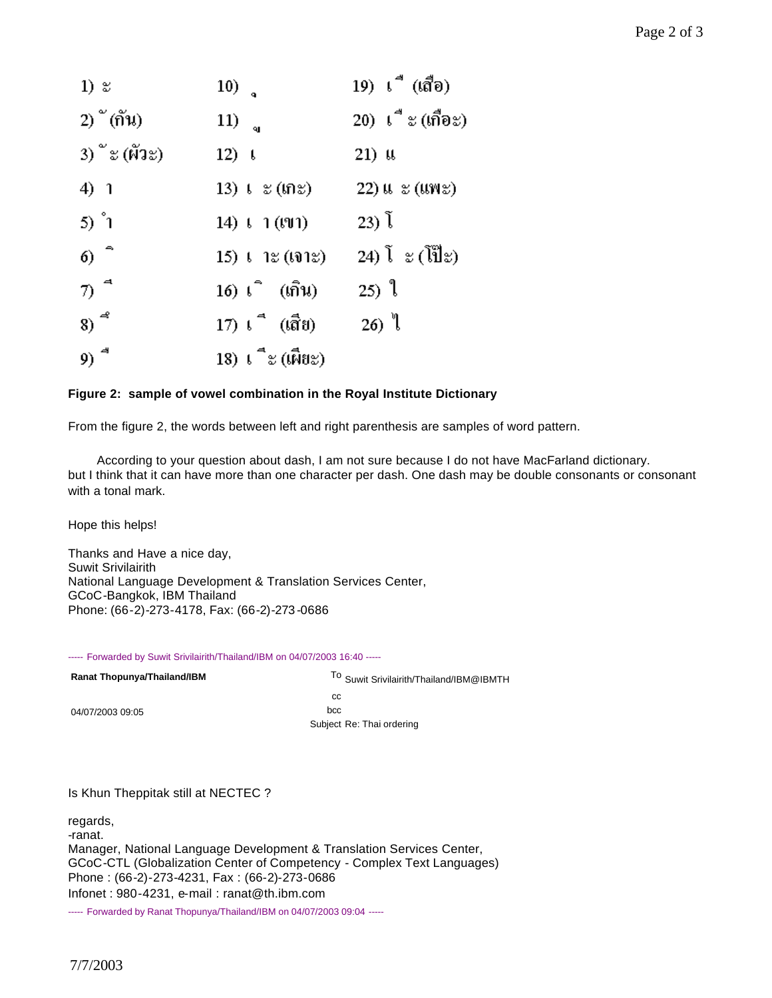| $1)$ $\approx$                        | $10)$ <sup><math>\alpha</math></sup>              | 19) เ‴ื (เสื้อ)             |
|---------------------------------------|---------------------------------------------------|-----------------------------|
| 2) $\tilde{p}$ (กัน)                  | 11) $_{q}$                                        | 20) เื่ะ (เกือะ)            |
| 3) $\degree$ ะ (ผัวะ)                 | $12)$ $\downarrow$                                | $21)$ as                    |
| 4) 1                                  | $13)$ t $z$ (tn $z$ )                             | $22)$ a $\varepsilon$ (ans) |
| 5) $\degree$ 1                        | 14) $\binom{1}{1}$ (191)                          | $(23)$ $\tilde{1}$          |
| $6)$ <sup><math>^{\circ}</math></sup> | $15)$ $\ell$ $1$ $\approx$ $($ (0 $1$ $\approx$ ) | 24) โะ (โป๊ะ)               |
| $\pi$ <sup>4</sup>                    | 16) เ_ิ (เกิน)                                    | 25) $\mathbb{I}$            |
| $8)$ <sup>4</sup>                     | 17) เ ึี (เสีย)                                   | 26) $\sqrt[3]{}$            |
| 9) $^4$                               | 18) เ_ืะ (เผียะ)                                  |                             |

## **Figure 2: sample of vowel combination in the Royal Institute Dictionary**

From the figure 2, the words between left and right parenthesis are samples of word pattern.

 According to your question about dash, I am not sure because I do not have MacFarland dictionary. but I think that it can have more than one character per dash. One dash may be double consonants or consonant with a tonal mark.

Hope this helps!

Thanks and Have a nice day, Suwit Srivilairith National Language Development & Translation Services Center, GCoC-Bangkok, IBM Thailand Phone: (66-2)-273-4178, Fax: (66-2)-273-0686

----- Forwarded by Suwit Srivilairith/Thailand/IBM on 04/07/2003 16:40 -----

| <b>Ranat Thopunya/Thailand/IBM</b> | To Suwit Srivilairith/Thailand/IBM@IBMTH |  |
|------------------------------------|------------------------------------------|--|
|                                    | CC.                                      |  |
| 04/07/2003 09:05                   | bcc                                      |  |
|                                    | Subject Re: Thai ordering                |  |

## Is Khun Theppitak still at NECTEC ?

regards, -ranat. Manager, National Language Development & Translation Services Center, GCoC-CTL (Globalization Center of Competency - Complex Text Languages) Phone : (66-2)-273-4231, Fax : (66-2)-273-0686 Infonet : 980-4231, e-mail : ranat@th.ibm.com

----- Forwarded by Ranat Thopunya/Thailand/IBM on 04/07/2003 09:04 -----